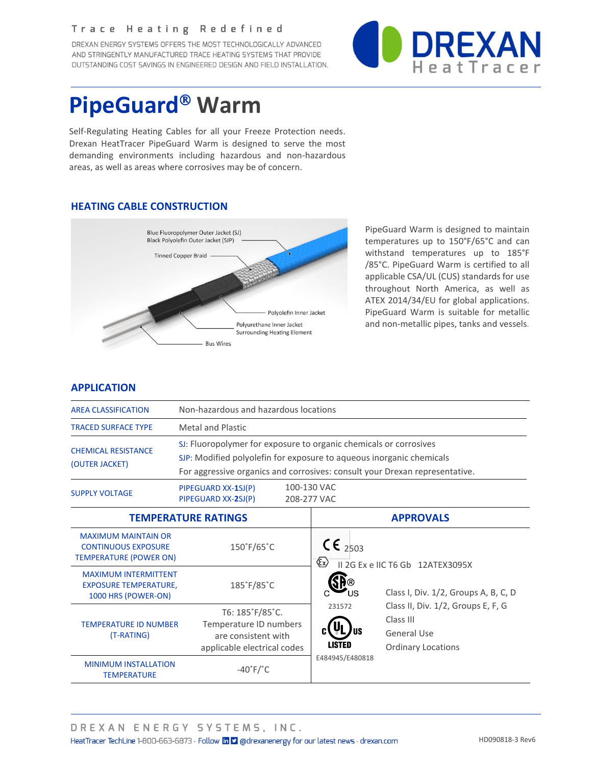#### Trace Heating Redefined

DREXAN ENERGY SYSTEMS OFFERS THE MOST TECHNOLOGICALLY ADVANCED AND STRINGENTLY MANUFACTURED TRACE HEATING SYSTEMS THAT PROVIDE OUTSTANDING COST SAVINGS IN ENGINEERED DESIGN AND FIELD INSTALLATION.



# **PipeGuard**<sup>®</sup> Warm

Self-Regulating Heating Cables for all your Freeze Protection needs. Drexan HeatTracer PipeGuard Warm is designed to serve the most demanding environments including hazardous and non-hazardous areas, as well as areas where corrosives may be of concern.

## **HEATING CABLE CONSTRUCTION**



PipeGuard Warm is designed to maintain temperatures up to 150°F/65°C and can withstand temperatures up to 185°F /85°C. PipeGuard Warm is certified to all applicable CSA/UL (CUS) standards for use throughout North America, as well as ATEX 2014/34/EU for global applications. PipeGuard Warm is suitable for metallic and non-metallic pipes, tanks and vessels.

### **APPLICATION**

| <b>AREA CLASSIFICATION</b>                                                                | Non-hazardous and hazardous locations                                                                                                                                                                                    |                                                                                                                 |  |  |  |  |
|-------------------------------------------------------------------------------------------|--------------------------------------------------------------------------------------------------------------------------------------------------------------------------------------------------------------------------|-----------------------------------------------------------------------------------------------------------------|--|--|--|--|
| <b>TRACED SURFACE TYPE</b>                                                                | <b>Metal and Plastic</b>                                                                                                                                                                                                 |                                                                                                                 |  |  |  |  |
| <b>CHEMICAL RESISTANCE</b><br>(OUTER JACKET)                                              | SJ: Fluoropolymer for exposure to organic chemicals or corrosives<br>SJP: Modified polyolefin for exposure to aqueous inorganic chemicals<br>For aggressive organics and corrosives: consult your Drexan representative. |                                                                                                                 |  |  |  |  |
| <b>SUPPLY VOLTAGE</b>                                                                     | 100-130 VAC<br>PIPEGUARD XX-1SJ(P)<br>PIPEGUARD XX-2SJ(P)<br>208-277 VAC                                                                                                                                                 |                                                                                                                 |  |  |  |  |
|                                                                                           | <b>TEMPERATURE RATINGS</b>                                                                                                                                                                                               | <b>APPROVALS</b>                                                                                                |  |  |  |  |
| <b>MAXIMUM MAINTAIN OR</b><br><b>CONTINUOUS EXPOSURE</b><br><b>TEMPERATURE (POWER ON)</b> | 150°F/65°C                                                                                                                                                                                                               | $C_{2503}$<br>$\langle \epsilon_{\mathsf{x}} \rangle$<br>II 2G Ex e IIC T6 Gb 12ATEX3095X                       |  |  |  |  |
| <b>MAXIMUM INTERMITTENT</b><br><b>EXPOSURE TEMPERATURE,</b><br>1000 HRS (POWER-ON)        | 185°F/85°C                                                                                                                                                                                                               | Class I, Div. 1/2, Groups A, B, C, D                                                                            |  |  |  |  |
| <b>TEMPERATURE ID NUMBER</b><br>(T-RATING)                                                | T6: 185°F/85°C.<br>Temperature ID numbers<br>are consistent with<br>applicable electrical codes                                                                                                                          | Class II, Div. 1/2, Groups E, F, G<br>231572<br>Class III<br>General Use<br>LISTED<br><b>Ordinary Locations</b> |  |  |  |  |
| <b>MINIMUM INSTALLATION</b><br><b>TEMPERATURE</b>                                         | $-40^\circ$ F/ $^{\circ}$ C                                                                                                                                                                                              | E484945/E480818                                                                                                 |  |  |  |  |